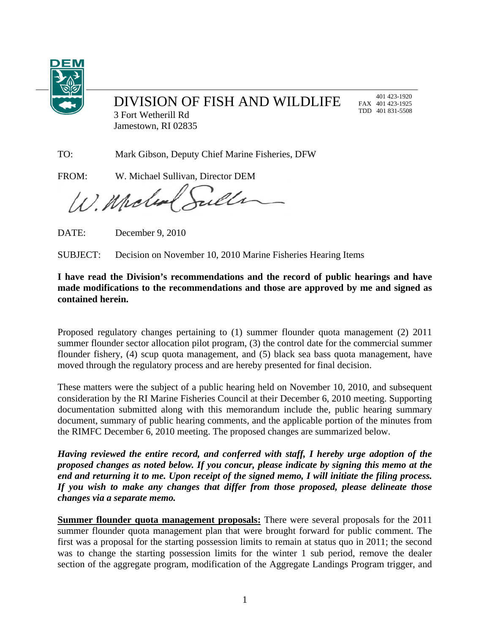

## DIVISION OF FISH AND WILDLIFE

 401 423-1920 FAX 401 423-1925 TDD 401 831-5508

3 Fort Wetherill Rd Jamestown, RI 02835

TO: Mark Gibson, Deputy Chief Marine Fisheries, DFW

FROM: W. Michael Sullivan, Director DEM

illr W. Moles

DATE: December 9, 2010

SUBJECT: Decision on November 10, 2010 Marine Fisheries Hearing Items

## **I have read the Division's recommendations and the record of public hearings and have made modifications to the recommendations and those are approved by me and signed as contained herein.**

Proposed regulatory changes pertaining to (1) summer flounder quota management (2) 2011 summer flounder sector allocation pilot program, (3) the control date for the commercial summer flounder fishery, (4) scup quota management, and (5) black sea bass quota management, have moved through the regulatory process and are hereby presented for final decision.

These matters were the subject of a public hearing held on November 10, 2010, and subsequent consideration by the RI Marine Fisheries Council at their December 6, 2010 meeting. Supporting documentation submitted along with this memorandum include the, public hearing summary document, summary of public hearing comments, and the applicable portion of the minutes from the RIMFC December 6, 2010 meeting. The proposed changes are summarized below.

*Having reviewed the entire record, and conferred with staff, I hereby urge adoption of the proposed changes as noted below. If you concur, please indicate by signing this memo at the end and returning it to me. Upon receipt of the signed memo, I will initiate the filing process. If you wish to make any changes that differ from those proposed, please delineate those changes via a separate memo.* 

**Summer flounder quota management proposals:** There were several proposals for the 2011 summer flounder quota management plan that were brought forward for public comment. The first was a proposal for the starting possession limits to remain at status quo in 2011; the second was to change the starting possession limits for the winter 1 sub period, remove the dealer section of the aggregate program, modification of the Aggregate Landings Program trigger, and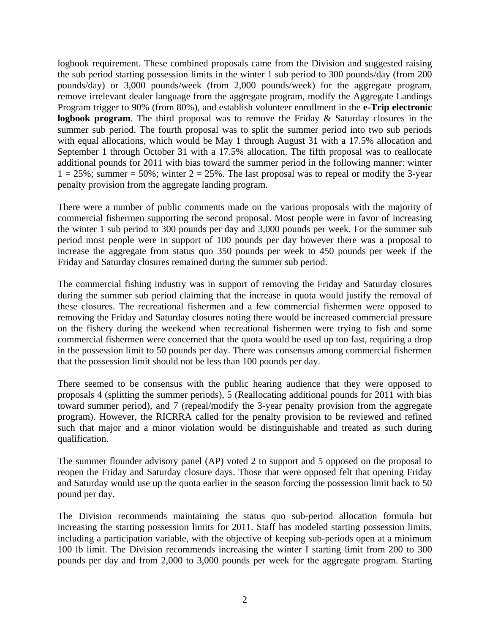logbook requirement. These combined proposals came from the Division and suggested raising the sub period starting possession limits in the winter 1 sub period to 300 pounds/day (from 200 pounds/day) or 3,000 pounds/week (from 2,000 pounds/week) for the aggregate program, remove irrelevant dealer language from the aggregate program, modify the Aggregate Landings Program trigger to 90% (from 80%), and establish volunteer enrollment in the **e-Trip electronic logbook program**. The third proposal was to remove the Friday & Saturday closures in the summer sub period. The fourth proposal was to split the summer period into two sub periods with equal allocations, which would be May 1 through August 31 with a 17.5% allocation and September 1 through October 31 with a 17.5% allocation. The fifth proposal was to reallocate additional pounds for 2011 with bias toward the summer period in the following manner: winter  $1 = 25\%$ ; summer = 50%; winter  $2 = 25\%$ . The last proposal was to repeal or modify the 3-year penalty provision from the aggregate landing program.

There were a number of public comments made on the various proposals with the majority of commercial fishermen supporting the second proposal. Most people were in favor of increasing the winter 1 sub period to 300 pounds per day and 3,000 pounds per week. For the summer sub period most people were in support of 100 pounds per day however there was a proposal to increase the aggregate from status quo 350 pounds per week to 450 pounds per week if the Friday and Saturday closures remained during the summer sub period.

The commercial fishing industry was in support of removing the Friday and Saturday closures during the summer sub period claiming that the increase in quota would justify the removal of these closures. The recreational fishermen and a few commercial fishermen were opposed to removing the Friday and Saturday closures noting there would be increased commercial pressure on the fishery during the weekend when recreational fishermen were trying to fish and some commercial fishermen were concerned that the quota would be used up too fast, requiring a drop in the possession limit to 50 pounds per day. There was consensus among commercial fishermen that the possession limit should not be less than 100 pounds per day.

There seemed to be consensus with the public hearing audience that they were opposed to proposals 4 (splitting the summer periods), 5 (Reallocating additional pounds for 2011 with bias toward summer period), and 7 (repeal/modify the 3-year penalty provision from the aggregate program). However, the RICRRA called for the penalty provision to be reviewed and refined such that major and a minor violation would be distinguishable and treated as such during qualification.

The summer flounder advisory panel (AP) voted 2 to support and 5 opposed on the proposal to reopen the Friday and Saturday closure days. Those that were opposed felt that opening Friday and Saturday would use up the quota earlier in the season forcing the possession limit back to 50 pound per day.

The Division recommends maintaining the status quo sub-period allocation formula but increasing the starting possession limits for 2011. Staff has modeled starting possession limits, including a participation variable, with the objective of keeping sub-periods open at a minimum 100 lb limit. The Division recommends increasing the winter I starting limit from 200 to 300 pounds per day and from 2,000 to 3,000 pounds per week for the aggregate program. Starting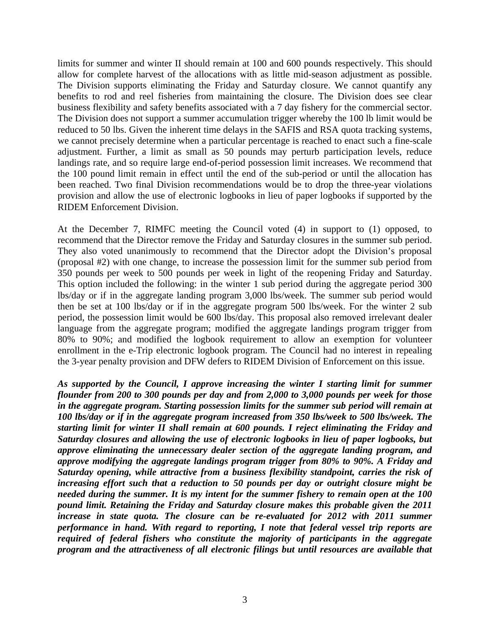limits for summer and winter II should remain at 100 and 600 pounds respectively. This should allow for complete harvest of the allocations with as little mid-season adjustment as possible. The Division supports eliminating the Friday and Saturday closure. We cannot quantify any benefits to rod and reel fisheries from maintaining the closure. The Division does see clear business flexibility and safety benefits associated with a 7 day fishery for the commercial sector. The Division does not support a summer accumulation trigger whereby the 100 lb limit would be reduced to 50 lbs. Given the inherent time delays in the SAFIS and RSA quota tracking systems, we cannot precisely determine when a particular percentage is reached to enact such a fine-scale adjustment. Further, a limit as small as 50 pounds may perturb participation levels, reduce landings rate, and so require large end-of-period possession limit increases. We recommend that the 100 pound limit remain in effect until the end of the sub-period or until the allocation has been reached. Two final Division recommendations would be to drop the three-year violations provision and allow the use of electronic logbooks in lieu of paper logbooks if supported by the RIDEM Enforcement Division.

At the December 7, RIMFC meeting the Council voted (4) in support to (1) opposed, to recommend that the Director remove the Friday and Saturday closures in the summer sub period. They also voted unanimously to recommend that the Director adopt the Division's proposal (proposal #2) with one change, to increase the possession limit for the summer sub period from 350 pounds per week to 500 pounds per week in light of the reopening Friday and Saturday. This option included the following: in the winter 1 sub period during the aggregate period 300 lbs/day or if in the aggregate landing program 3,000 lbs/week. The summer sub period would then be set at 100 lbs/day or if in the aggregate program 500 lbs/week. For the winter 2 sub period, the possession limit would be 600 lbs/day. This proposal also removed irrelevant dealer language from the aggregate program; modified the aggregate landings program trigger from 80% to 90%; and modified the logbook requirement to allow an exemption for volunteer enrollment in the e-Trip electronic logbook program. The Council had no interest in repealing the 3-year penalty provision and DFW defers to RIDEM Division of Enforcement on this issue.

*As supported by the Council, I approve increasing the winter I starting limit for summer flounder from 200 to 300 pounds per day and from 2,000 to 3,000 pounds per week for those in the aggregate program. Starting possession limits for the summer sub period will remain at 100 lbs/day or if in the aggregate program increased from 350 lbs/week to 500 lbs/week. The starting limit for winter II shall remain at 600 pounds. I reject eliminating the Friday and Saturday closures and allowing the use of electronic logbooks in lieu of paper logbooks, but approve eliminating the unnecessary dealer section of the aggregate landing program, and approve modifying the aggregate landings program trigger from 80% to 90%. A Friday and Saturday opening, while attractive from a business flexibility standpoint, carries the risk of increasing effort such that a reduction to 50 pounds per day or outright closure might be needed during the summer. It is my intent for the summer fishery to remain open at the 100 pound limit. Retaining the Friday and Saturday closure makes this probable given the 2011 increase in state quota. The closure can be re-evaluated for 2012 with 2011 summer performance in hand. With regard to reporting, I note that federal vessel trip reports are required of federal fishers who constitute the majority of participants in the aggregate program and the attractiveness of all electronic filings but until resources are available that*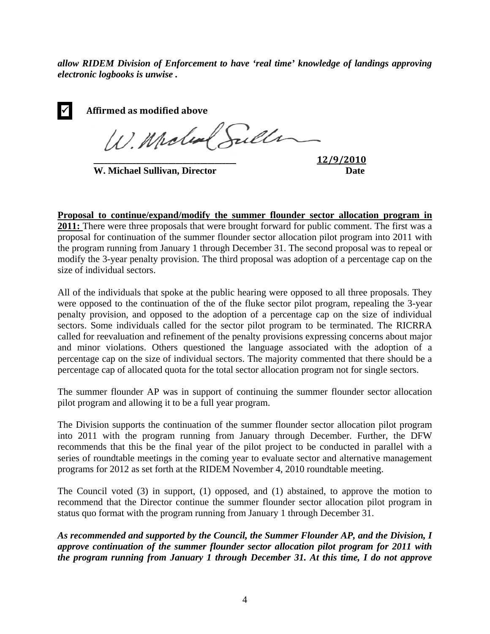*allow RIDEM Division of Enforcement to have 'real time' knowledge of landings approving electronic logbooks is unwise .* 

| $\blacktriangledown$ | Affirmed as modified above |
|----------------------|----------------------------|
|                      | W. Molen Sule              |
|                      |                            |

**W. Michael Sullivan, Director Date** 

**\_\_\_\_\_\_\_\_\_\_\_\_\_\_\_\_\_\_\_\_\_\_\_\_\_\_\_\_\_\_\_\_\_\_\_\_\_\_\_\_ 12/9/2010**

**Proposal to continue/expand/modify the summer flounder sector allocation program in 2011:** There were three proposals that were brought forward for public comment. The first was a proposal for continuation of the summer flounder sector allocation pilot program into 2011 with the program running from January 1 through December 31. The second proposal was to repeal or modify the 3-year penalty provision. The third proposal was adoption of a percentage cap on the size of individual sectors.

All of the individuals that spoke at the public hearing were opposed to all three proposals. They were opposed to the continuation of the of the fluke sector pilot program, repealing the 3-year penalty provision, and opposed to the adoption of a percentage cap on the size of individual sectors. Some individuals called for the sector pilot program to be terminated. The RICRRA called for reevaluation and refinement of the penalty provisions expressing concerns about major and minor violations. Others questioned the language associated with the adoption of a percentage cap on the size of individual sectors. The majority commented that there should be a percentage cap of allocated quota for the total sector allocation program not for single sectors.

The summer flounder AP was in support of continuing the summer flounder sector allocation pilot program and allowing it to be a full year program.

The Division supports the continuation of the summer flounder sector allocation pilot program into 2011 with the program running from January through December. Further, the DFW recommends that this be the final year of the pilot project to be conducted in parallel with a series of roundtable meetings in the coming year to evaluate sector and alternative management programs for 2012 as set forth at the RIDEM November 4, 2010 roundtable meeting.

The Council voted (3) in support, (1) opposed, and (1) abstained, to approve the motion to recommend that the Director continue the summer flounder sector allocation pilot program in status quo format with the program running from January 1 through December 31.

*As recommended and supported by the Council, the Summer Flounder AP, and the Division, I approve continuation of the summer flounder sector allocation pilot program for 2011 with the program running from January 1 through December 31. At this time, I do not approve*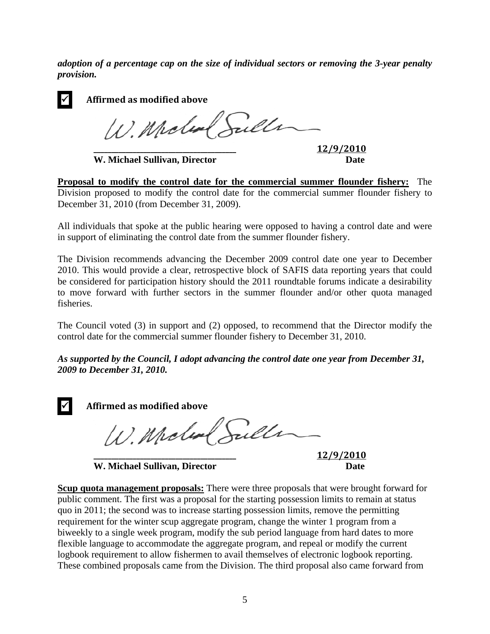*adoption of a percentage cap on the size of individual sectors or removing the 3-year penalty provision.* 

| ✔ | Affirmed as modified above |  |
|---|----------------------------|--|
|   | W. Moland Sull             |  |
|   |                            |  |

**W. Michael Sullivan, Director** 

**\_\_\_\_\_\_\_\_\_\_\_\_\_\_\_\_\_\_\_\_\_\_\_\_\_\_\_\_\_\_\_\_\_\_\_\_\_\_\_\_ 12/9/2010**

**Proposal to modify the control date for the commercial summer flounder fishery:** The Division proposed to modify the control date for the commercial summer flounder fishery to December 31, 2010 (from December 31, 2009).

All individuals that spoke at the public hearing were opposed to having a control date and were in support of eliminating the control date from the summer flounder fishery.

The Division recommends advancing the December 2009 control date one year to December 2010. This would provide a clear, retrospective block of SAFIS data reporting years that could be considered for participation history should the 2011 roundtable forums indicate a desirability to move forward with further sectors in the summer flounder and/or other quota managed fisheries.

The Council voted (3) in support and (2) opposed, to recommend that the Director modify the control date for the commercial summer flounder fishery to December 31, 2010.

*As supported by the Council, I adopt advancing the control date one year from December 31, 2009 to December 31, 2010.*



W. Model Sulle

**W. Michael Sullivan, Director Date** 

**\_\_\_\_\_\_\_\_\_\_\_\_\_\_\_\_\_\_\_\_\_\_\_\_\_\_\_\_\_\_\_\_\_\_\_\_\_\_\_\_ 12/9/2010**

**Scup quota management proposals:** There were three proposals that were brought forward for public comment. The first was a proposal for the starting possession limits to remain at status quo in 2011; the second was to increase starting possession limits, remove the permitting requirement for the winter scup aggregate program, change the winter 1 program from a biweekly to a single week program, modify the sub period language from hard dates to more flexible language to accommodate the aggregate program, and repeal or modify the current logbook requirement to allow fishermen to avail themselves of electronic logbook reporting. These combined proposals came from the Division. The third proposal also came forward from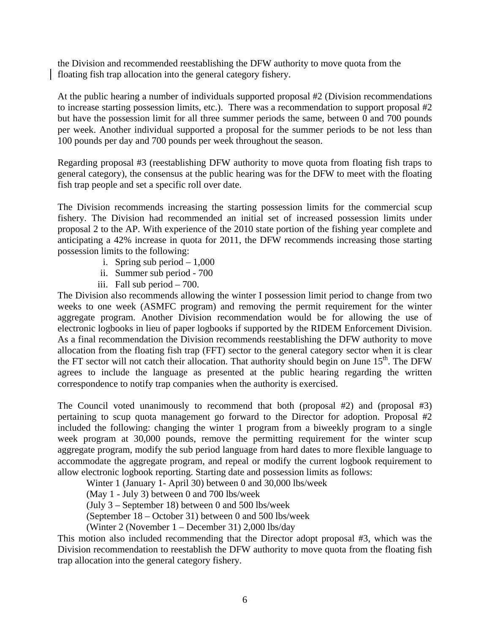the Division and recommended reestablishing the DFW authority to move quota from the floating fish trap allocation into the general category fishery.

At the public hearing a number of individuals supported proposal #2 (Division recommendations to increase starting possession limits, etc.). There was a recommendation to support proposal #2 but have the possession limit for all three summer periods the same, between 0 and 700 pounds per week. Another individual supported a proposal for the summer periods to be not less than 100 pounds per day and 700 pounds per week throughout the season.

Regarding proposal #3 (reestablishing DFW authority to move quota from floating fish traps to general category), the consensus at the public hearing was for the DFW to meet with the floating fish trap people and set a specific roll over date.

The Division recommends increasing the starting possession limits for the commercial scup fishery. The Division had recommended an initial set of increased possession limits under proposal 2 to the AP. With experience of the 2010 state portion of the fishing year complete and anticipating a 42% increase in quota for 2011, the DFW recommends increasing those starting possession limits to the following:

- i. Spring sub period  $-1,000$
- ii. Summer sub period 700
- iii. Fall sub period 700.

The Division also recommends allowing the winter I possession limit period to change from two weeks to one week (ASMFC program) and removing the permit requirement for the winter aggregate program. Another Division recommendation would be for allowing the use of electronic logbooks in lieu of paper logbooks if supported by the RIDEM Enforcement Division. As a final recommendation the Division recommends reestablishing the DFW authority to move allocation from the floating fish trap (FFT) sector to the general category sector when it is clear the FT sector will not catch their allocation. That authority should begin on June  $15<sup>th</sup>$ . The DFW agrees to include the language as presented at the public hearing regarding the written correspondence to notify trap companies when the authority is exercised.

The Council voted unanimously to recommend that both (proposal #2) and (proposal #3) pertaining to scup quota management go forward to the Director for adoption. Proposal #2 included the following: changing the winter 1 program from a biweekly program to a single week program at 30,000 pounds, remove the permitting requirement for the winter scup aggregate program, modify the sub period language from hard dates to more flexible language to accommodate the aggregate program, and repeal or modify the current logbook requirement to allow electronic logbook reporting. Starting date and possession limits as follows:

Winter 1 (January 1- April 30) between 0 and 30,000 lbs/week

(May 1 - July 3) between 0 and 700 lbs/week

(July 3 – September 18) between 0 and 500 lbs/week

(September 18 – October 31) between 0 and 500 lbs/week

(Winter 2 (November 1 – December 31) 2,000 lbs/day

This motion also included recommending that the Director adopt proposal #3, which was the Division recommendation to reestablish the DFW authority to move quota from the floating fish trap allocation into the general category fishery.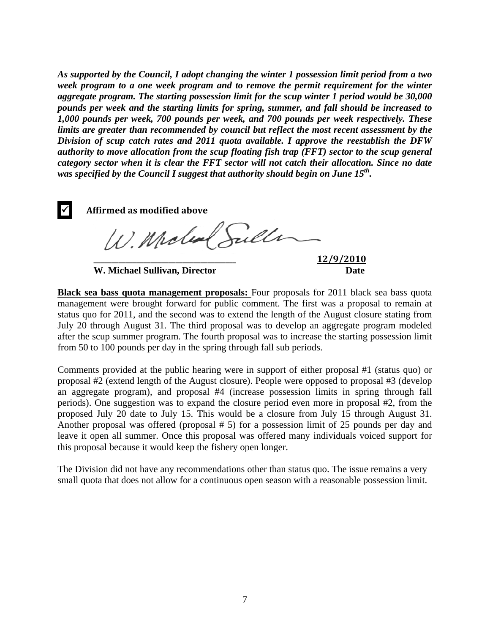*As supported by the Council, I adopt changing the winter 1 possession limit period from a two week program to a one week program and to remove the permit requirement for the winter aggregate program. The starting possession limit for the scup winter 1 period would be 30,000 pounds per week and the starting limits for spring, summer, and fall should be increased to 1,000 pounds per week, 700 pounds per week, and 700 pounds per week respectively. These limits are greater than recommended by council but reflect the most recent assessment by the Division of scup catch rates and 2011 quota available. I approve the reestablish the DFW authority to move allocation from the scup floating fish trap (FFT) sector to the scup general category sector when it is clear the FFT sector will not catch their allocation. Since no date was specified by the Council I suggest that authority should begin on June 15th.* 

9 **Affirmed as modified above** W. Molen Sulle **\_\_\_\_\_\_\_\_\_\_\_\_\_\_\_\_\_\_\_\_\_\_\_\_\_\_\_\_\_\_\_\_\_\_\_\_\_\_\_\_ 12/9/2010**

**W. Michael Sullivan, Director Date** 

**Black sea bass quota management proposals:** Four proposals for 2011 black sea bass quota management were brought forward for public comment. The first was a proposal to remain at status quo for 2011, and the second was to extend the length of the August closure stating from July 20 through August 31. The third proposal was to develop an aggregate program modeled after the scup summer program. The fourth proposal was to increase the starting possession limit from 50 to 100 pounds per day in the spring through fall sub periods.

Comments provided at the public hearing were in support of either proposal #1 (status quo) or proposal #2 (extend length of the August closure). People were opposed to proposal #3 (develop an aggregate program), and proposal #4 (increase possession limits in spring through fall periods). One suggestion was to expand the closure period even more in proposal #2, from the proposed July 20 date to July 15. This would be a closure from July 15 through August 31. Another proposal was offered (proposal # 5) for a possession limit of 25 pounds per day and leave it open all summer. Once this proposal was offered many individuals voiced support for this proposal because it would keep the fishery open longer.

The Division did not have any recommendations other than status quo. The issue remains a very small quota that does not allow for a continuous open season with a reasonable possession limit.